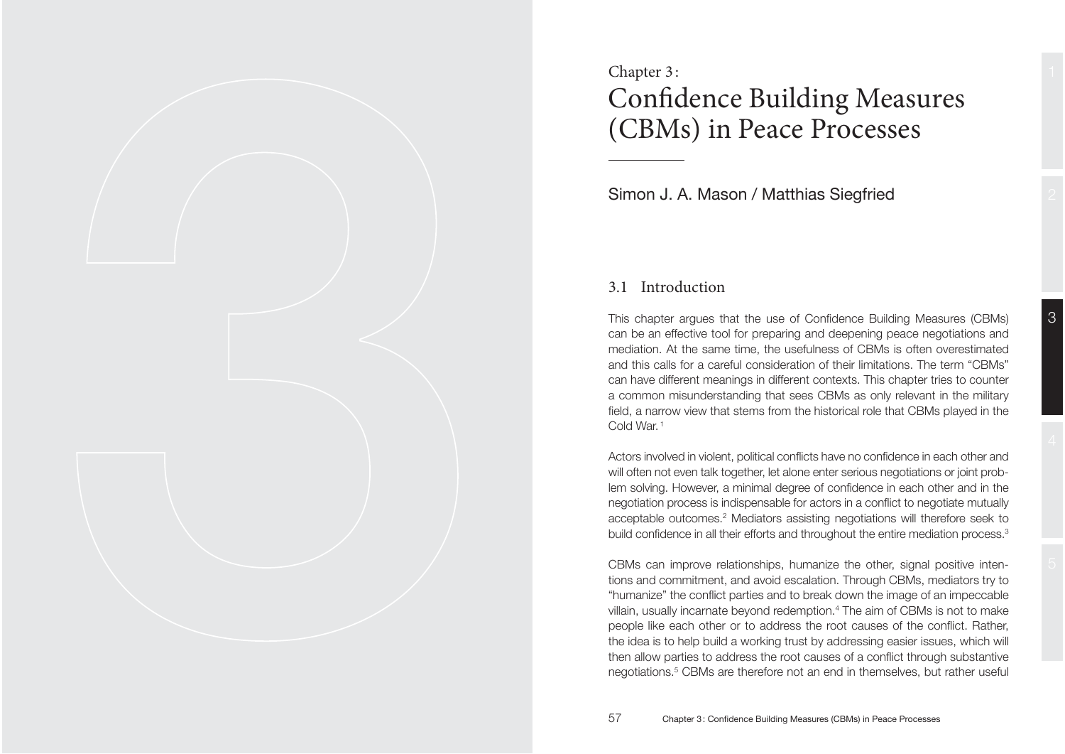# Chapter 3 : Confidence Building Measures (CBMs) in Peace Processes

Simon J. A. Mason / Matthias Siegfried

tions and commitment, and avoid escalation. Through CBMs, mediators try to "humanize" the conflict parties and to break down the image of an impeccable villain, usually incarnate beyond redemption. $4$  The aim of CBMs is not to make people like each other or to address the root causes of the conflict. Rather, the idea is to help build a working trust by addressing easier issues, which will then allow parties to address the root causes of a conflict through substantive

negotiations.<sup>5</sup> CBMs are therefore not an end in themselves, but rather useful

## 3.1 Introduction

This chapter argues that the use of Confidence Building Measures (CBMs) can be an effective tool for preparing and deepening peace negotiations and mediation. At the same time, the usefulness of CBMs is often overestimated and this calls for a careful consideration of their limitations. The term "CBMs" can have different meanings in different contexts. This chapter tries to counter a common misunderstanding that sees CBMs as only relevant in the military field, a narrow view that stems from the historical role that CBMs played in the Cold War. 1

Actors involved in violent, political conflicts have no confidence in each other and will often not even talk together, let alone enter serious negotiations or joint problem solving. However, a minimal degree of confidence in each other and in the negotiation process is indispensable for actors in a conflict to negotiate mutually acceptable outcomes.<sup>2</sup> Mediators assisting negotiations will therefore seek to build confidence in all their efforts and throughout the entire mediation process.<sup>3</sup>

CBMs can improve relationships, humanize the other, signal positive inten-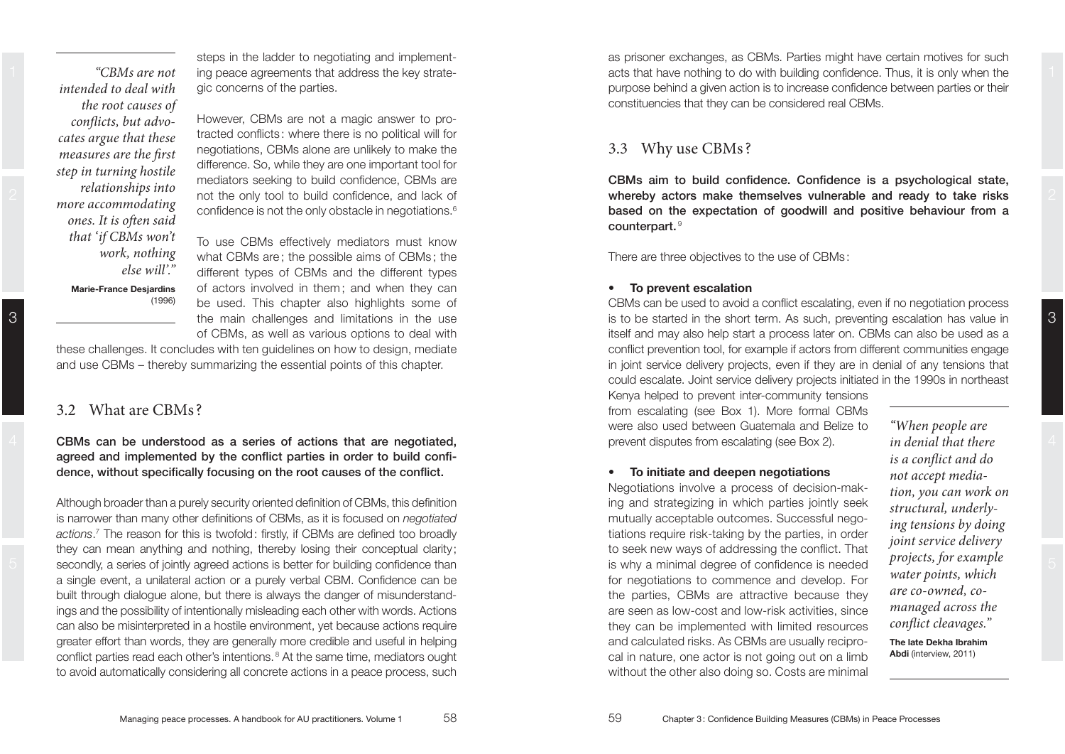*"CBMs are not intended to deal with the root causes of conflicts, but advocates argue that these measures are the first step in turning hostile relationships into more accommodating ones. It is often said that 'if CBMs won't work, nothing else will'."* 

steps in the ladder to negotiating and implementing peace agreements that address the key strategic concerns of the parties.

However, CBMs are not a magic answer to protracted conflicts: where there is no political will for negotiations, CBMs alone are unlikely to make the difference. So, while they are one important tool for mediators seeking to build confidence. CBMs are not the only tool to build confidence, and lack of confidence is not the only obstacle in negotiations.<sup>6</sup>

**Marie-France Desiardins**  $(1996)$ 

To use CBMs effectively mediators must know what CBMs are: the possible aims of CBMs: the different types of CBMs and the different types of actors involved in them ; and when they can be used. This chapter also highlights some of the main challenges and limitations in the use of CBMs, as well as various options to deal with

these challenges. It concludes with ten guidelines on how to design, mediate and use CBMs – thereby summarizing the essential points of this chapter.

## 3.2 What are CBMs ?

**CBMs can be understood as a series of actions that are negotiated,**  agreed and implemented by the conflict parties in order to build confidence, without specifically focusing on the root causes of the conflict.

Although broader than a purely security oriented definition of CBMs, this definition is narrower than many other definitions of CBMs, as it is focused on *negotiated* actions.<sup>7</sup> The reason for this is twofold: firstly, if CBMs are defined too broadly they can mean anything and nothing, thereby losing their conceptual clarity ; secondly, a series of jointly agreed actions is better for building confidence than a single event, a unilateral action or a purely verbal CBM. Confidence can be built through dialogue alone, but there is always the danger of misunderstandings and the possibility of intentionally misleading each other with words. Actions can also be misinterpreted in a hostile environment, yet because actions require greater effort than words, they are generally more credible and useful in helping conflict parties read each other's intentions.<sup>8</sup> At the same time, mediators ought to avoid automatically considering all concrete actions in a peace process, such

1 CBMs are not ing peace agreements that address the key strate-<br>
All acts that have nothing to do with building confidence. Thus, it is only when the as prisoner exchanges, as CBMs. Parties might have certain motives for such purpose behind a given action is to increase confidence between parties or their constituencies that they can be considered real CBMs.

## 3.3 Why use CBMs ?

 $B$  **CBMs** aim to build confidence. Confidence is a psychological state. **Z Whereby** actors make themselves vulnerable and ready to take risks  $B$  **Based** on the expectation of goodwill and positive behaviour from a counterpart.<sup>9</sup>

There are three objectives to the use of CBMs:

#### **•** To prevent escalation

CBMs can be used to avoid a conflict escalating, even if no negotiation process is to be started in the short term. As such, preventing escalation has value in itself and may also help start a process later on. CBMs can also be used as a conflict prevention tool, for example if actors from different communities engage in joint service delivery projects, even if they are in denial of any tensions that could escalate. Joint service delivery projects initiated in the 1990s in northeast

Kenya helped to prevent inter-community tensions from escalating (see Box 1). More formal CBMs were also used between Guatemala and Belize to prevent disputes from escalating (see Box 2).

#### **•** To initiate and deepen negotiations

Negotiations involve a process of decision-making and strategizing in which parties jointly seek mutually acceptable outcomes. Successful nego tiations require risk-taking by the parties, in order to seek new ways of addressing the conflict. That is why a minimal degree of confidence is needed for negotiations to commence and develop. For the parties, CBMs are attractive because they are seen as low-cost and low-risk activities, since they can be implemented with limited resources and calculated risks. As CBMs are usually reciprocal in nature, one actor is not going out on a limb without the other also doing so. Costs are minimal

*"When people are in denial that there is a conflict and do not accept mediation, you can work on structural, underlying tensions by doing joint service delivery projects, for example water points, which are co-owned, comanaged across the conflict cleavages."* 

3

The late Dekha Ibrahim **Abdi** (interview, 2011)

3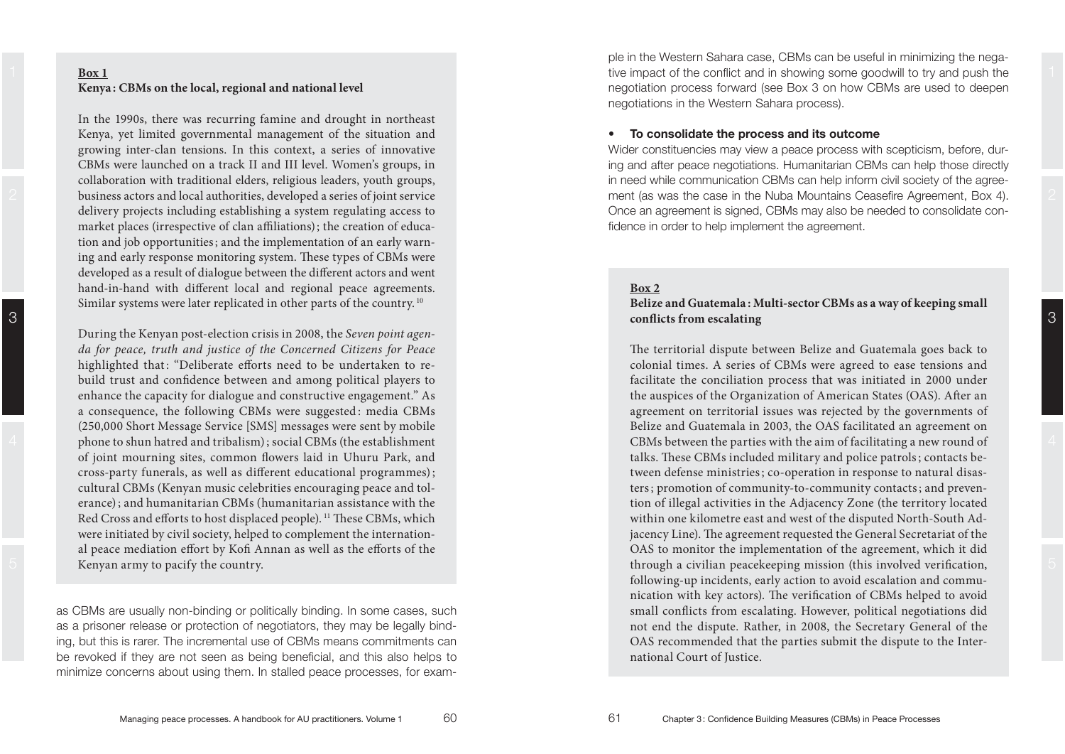3

**Example 10**<br> **Example 10**<br> **Example 1000**, there was recurring famine and drought in northeast<br>
In the 1990s, there was recurring famine and drought in northeast<br> **Example 1000**, there was recurring famine and drought in market places (irrespective of clan affiliations); the creation of education and job opportunities; and the implementation of an early warning and early response monitoring system. These types of CBMs were developed as a result of dialogue between the different actors and went hand-in-hand with different local and regional peace agreements. Similar systems were later replicated in other parts of the country.<sup>10</sup>

During the Kenyan post-election crisis in 2008, the *Seven point agen da for peace, truth and justice of the Concerned Citizens for Peace* highlighted that: "Deliberate efforts need to be undertaken to rebuild trust and confidence between and among political players to<br>enhance the capacity for dialogue and constructive engagement." As<br>a consequence, the following CBMs were suggested: media CBMs<br>(250,000 Short Message Servi phone to shun hatred and tribalism); social CBMs (the establishment of joint mourning sites, common flowers laid in Uhuru Park, and cross-party funerals, as well as different educational programmes); cultural CBMs (Kenyan music celebrities encouraging peace and tol erance) ; and humanitarian CBMs (humanitarian assistance with the Red Cross and efforts to host displaced people).<sup>11</sup> These CBMs, which were initiated by civil society, helped to complement the international peace mediation effort by Kofi Annan as well as the efforts of the hand-in-hand with different local and regional pasce agreements.<br>
Shark and the stylength and regional pascel and regional pascel and regional and the stylength of *Peace*, *truth* and *justice* of *the Concerned Citizens* 

as CBMs are usually non-binding or politically binding. In some cases, such as a prisoner release or protection of negotiators, they may be legally binding, but this is rarer. The incremental use of CBMs means commitments can be revoked if they are not seen as being beneficial, and this also helps to minimize concerns about using them. In stalled peace processes, for exam-

1 **Box 1 Box 1 Box 1 EXECUTE: PHOTOGET A EXECUTE: PHOTOGET A EXECUTE: PHOTOGET A EXECUTE: PHOTOGET A EXECUTIVE A EXECUTIVE A EXECUTIVE A EXECUTIVE A EXECUTIVE A EXECUTIVE A EXECUTIVE A E** ple in the Western Sahara case, CBMs can be useful in minimizing the neganegotiation process forward (see Box 3 on how CBMs are used to deepen negotiations in the Western Sahara process).

#### **•** To consolidate the process and its outcome

Wider constituencies may view a peace process with scepticism, before, dur ing and after peace negotiations. Humanitarian CBMs can help those directly in need while communication CBMs can help inform civil society of the agreement (as was the case in the Nuba Mountains Ceasefire Agreement, Box 4). Once an agreement is signed, CBMs may also be needed to consolidate con-

3

ters; promotion of community-to-community contacts; and prevention of illegal activities in the Adjacency Zone (the territory located within one kilometre east and west of the disputed North-South Adjacency Line). The agreement requested the General Secretariat of the OAS to monitor the implementation of the agreement, which it did through a civilian peacekeeping mission (this involved verification, following-up incidents, early action to avoid escalation and communication with key actors). The verification of CBMs helped to avoid small conflicts from escalating. However, political negotiations did not end the dispute. Rather, in 2008, the Secretary General of the OAS recommended that the parties submit the dispute to the International Court of Justice.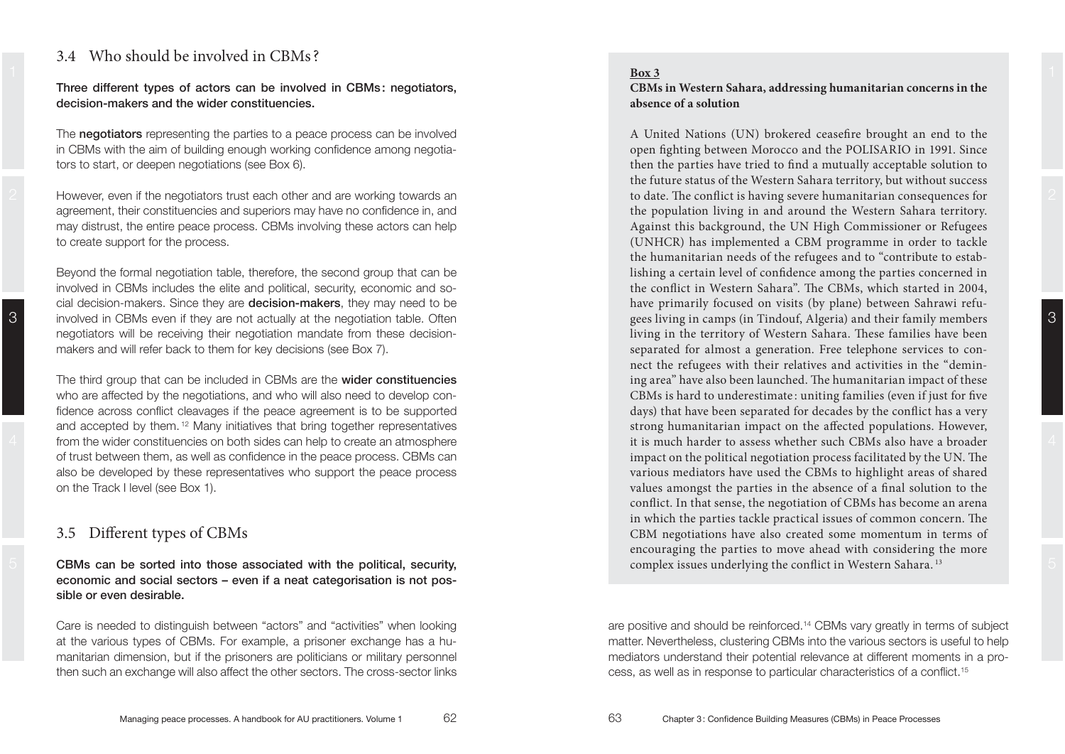## 3.4 Who should be involved in CBMs ?

**Three different types of actors can be involved in CBMs : negotiators,**  decision-makers and the wider constituencies.

The **negotiators** representing the parties to a peace process can be involved in CBMs with the aim of building enough working confidence among negotiators to start, or deepen negotiations (see Box 6).

agreement, their constituencies and superiors may have no confidence in, and may distrust, the entire peace process. CBMs involving these actors can help to create support for the process.

3 involved in CBMs even if they are not actually at the negotiation table. Often **Example 20** gees living in camps (in Tindouf, Algeria) and their family members 3 Beyond the formal negotiation table, therefore, the second group that can be involved in CBMs includes the elite and political, security, economic and social decision-makers. Since they are **decision-makers**, they may need to be negotiators will be receiving their negotiation mandate from these decisionmakers and will refer back to them for key decisions (see Box 7).

4 from the wider constituencies on both sides can help to create an atmosphere **the example of the sides** it is much harder to assess whether such CBMs also have a broader and 4 The third group that can be included in CBMs are the **wider constituencies** who are affected by the negotiations, and who will also need to develop confidence across conflict cleavages if the peace agreement is to be supported and accepted by them.<sup>12</sup> Many initiatives that bring together representatives of trust between them, as well as confidence in the peace process. CBMs can also be developed by these representatives who support the peace process on the Track I level (see Box 1).

## 3.5 Different types of CBMs

 5 **CBMs can be sorted into those associated with the political, security,**  economic and social sectors – even if a neat categorisation is not possible or even desirable.

Care is needed to distinguish between "actors" and "activities" when looking at the various types of CBMs. For example, a prisoner exchange has a humanitarian dimension, but if the prisoners are politicians or military personnel then such an exchange will also affect the other sectors. The cross-sector links

### **CBMs in Western Sahara, addressing humanitarian concerns in the absence of a solution**

However, even if the negotiators trust each other and are working towards an  $\sim$  to date. The conflict is having severe humanitarian consequences for  $\sim$ A United Nations (UN) brokered ceasefire brought an end to the open fighting between Morocco and the POLISARIO in 1991. Since then the parties have tried to find a mutually acceptable solution to the future status of the Western Sahara territory, but without success to date. The conflict is having severe humanitarian consequences for the population living in and around the Western Sahara territory. Against this background, the UN High Commissioner or Refugees (UNHCR) has implemented a CBM programme in order to tackle the humanitarian needs of the refugees and to "contribute to establishing a certain level of confidence among the parties concerned in the conflict in Western Sahara". The CBMs, which started in 2004, have primarily focused on visits (by plane) between Sahrawi refugees living in camps (in Tindouf, Algeria) and their family members living in the territory of Western Sahara. These families have been separated for almost a generation. Free telephone services to connect the refugees with their relatives and activities in the "demining area" have also been launched. The humanitarian impact of these CBMs is hard to underestimate : uniting families (even if just for five days) that have been separated for decades by the conflict has a very strong humanitarian impact on the affected populations. However, it is much harder to assess whether such CBMs also have a broader impact on the political negotiation process facilitated by the UN. The various mediators have used the CBMs to highlight areas of shared values amongst the parties in the absence of a final solution to the conflict. In that sense, the negotiation of CBMs has become an arena in which the parties tackle practical issues of common concern. The CBM negotiations have also created some momentum in terms of encouraging the parties to move ahead with considering the more complex issues underlying the conflict in Western Sahara. 13

> are positive and should be reinforced.<sup>14</sup> CBMs vary greatly in terms of subject matter. Nevertheless, clustering CBMs into the various sectors is useful to help mediators understand their potential relevance at different moments in a process, as well as in response to particular characteristics of a conflict.<sup>15</sup>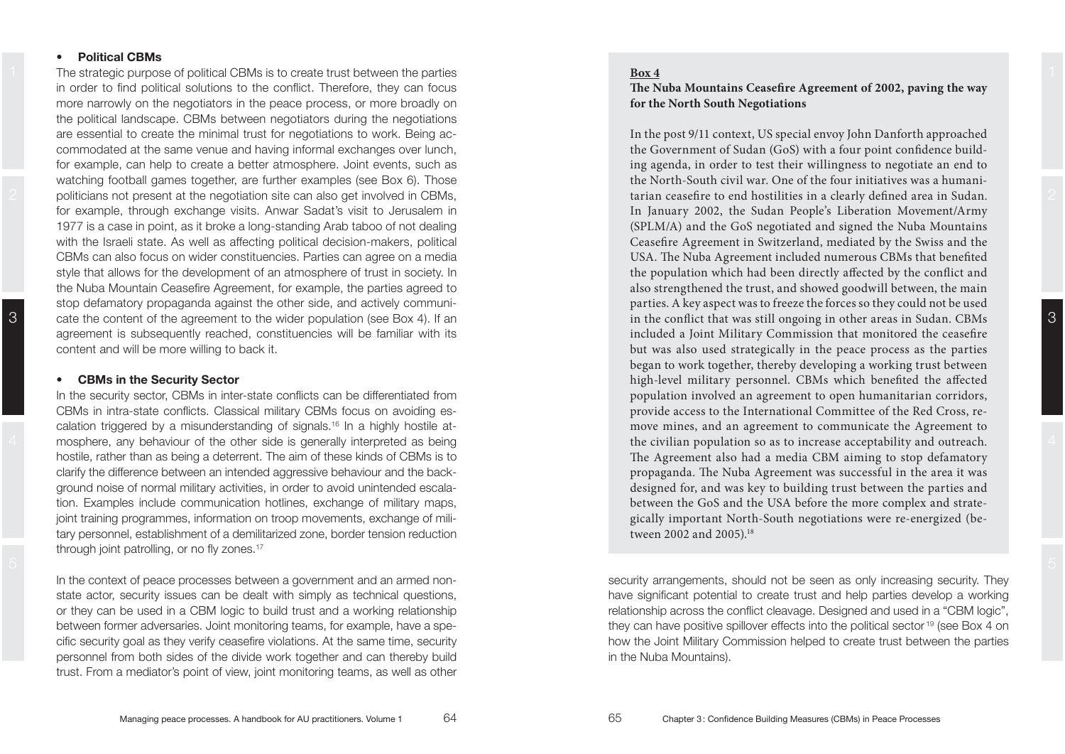### **•** Political CBMs

1 The strategic purpose of political CBMs is to create trust between the parties **Box 4** and the strategic purpose of political CBMs is to create trust between the parties and the strategic purpose of political CBMs is to in order to find political solutions to the conflict. Therefore, they can focus more narrowly on the negotiators in the peace process, or more broadly on the political landscape. CBMs between negotiators during the negotiations are essential to create the minimal trust for negotiations to work. Being accommodated at the same venue and having informal exchanges over lunch, for example, can help to create a better atmosphere. Joint events, such as watching football games together, are further examples (see Box 6). Those politicians not present at the negotiation site can also get involved in CBMs, for example, through exchange visits. Anwar Sadat's visit to Jerusalem in 1977 is a case in point, as it broke a long-standing Arab taboo of not dealing with the Israeli state. As well as affecting political decision-makers, political CBMs can also focus on wider constituencies. Parties can agree on a media style that allows for the development of an atmosphere of trust in society. In the Nuba Mountain Ceasefire Agreement, for example, the parties agreed to stop defamatory propaganda against the other side, and actively communicate the content of the agreement to the wider population (see Box 4). If an agreement is subsequently reached, constituencies will be familiar with its content and will be more willing to back it.

#### **•** CBMs in the Security Sector

In the security sector, CBMs in inter-state conflicts can be differentiated from CBMs in intra-state conflicts. Classical military CBMs focus on avoiding escalation triggered by a misunderstanding of signals.<sup>16</sup> In a highly hostile atmosphere, any behaviour of the other side is generally interpreted as being hostile, rather than as being a deterrent. The aim of these kinds of CBMs is to clarify the difference between an intended aggressive behaviour and the background noise of normal military activities, in order to avoid unintended escalation. Examples include communication hotlines, exchange of military maps, joint training programmes, information on troop movements, exchange of military personnel, establishment of a demilitarized zone, border tension reduction through joint patrolling, or no fly zones.<sup>17</sup>

In the context of peace processes between a government and an armed nonstate actor, security issues can be dealt with simply as technical questions, or they can be used in a CBM logic to build trust and a working relationship between former adversaries. Joint monitoring teams, for example, have a specific security goal as they verify ceasefire violations. At the same time, security personnel from both sides of the divide work together and can thereby build trust. From a mediator's point of view, joint monitoring teams, as well as other

#### **Box 4**

### **The Nuba Mountains Ceasefire Agreement of 2002, paving the way for the North South Negotiations**

In the post 9/11 context, US special envoy John Danforth approached the Government of Sudan (GoS) with a four point confidence building agenda, in order to test their willingness to negotiate an end to the North-South civil war. One of the four initiatives was a humanitarian ceasefire to end hostilities in a clearly defined area in Sudan. In January 2002, the Sudan People's Liberation Movement/Army (SPLM/A) and the GoS negotiated and signed the Nuba Mountains Ceasefire Agreement in Switzerland, mediated by the Swiss and the USA. The Nuba Agreement included numerous CBMs that benefited the population which had been directly affected by the conflict and also strengthened the trust, and showed goodwill between, the main parties. A key aspect was to freeze the forces so they could not be used in the conflict that was still ongoing in other areas in Sudan. CBMs included a Joint Military Commission that monitored the ceasefire but was also used strategically in the peace process as the parties began to work together, thereby developing a working trust between high-level military personnel. CBMs which benefited the affected population involved an agreement to open humanitarian corridors, provide access to the International Committee of the Red Cross, remove mines, and an agreement to communicate the Agreement to the civilian population so as to increase acceptability and outreach. The Agreement also had a media CBM aiming to stop defamatory propaganda. The Nuba Agreement was successful in the area it was designed for, and was key to building trust between the parties and between the GoS and the USA before the more complex and strategically important North-South negotiations were re-energized (between 2002 and 2005).<sup>18</sup>

security arrangements, should not be seen as only increasing security. They have significant potential to create trust and help parties develop a working relationship across the conflict cleavage. Designed and used in a "CBM logic", they can have positive spillover effects into the political sector  $19$  (see Box 4 on how the Joint Military Commission helped to create trust between the parties in the Nuba Mountains).

3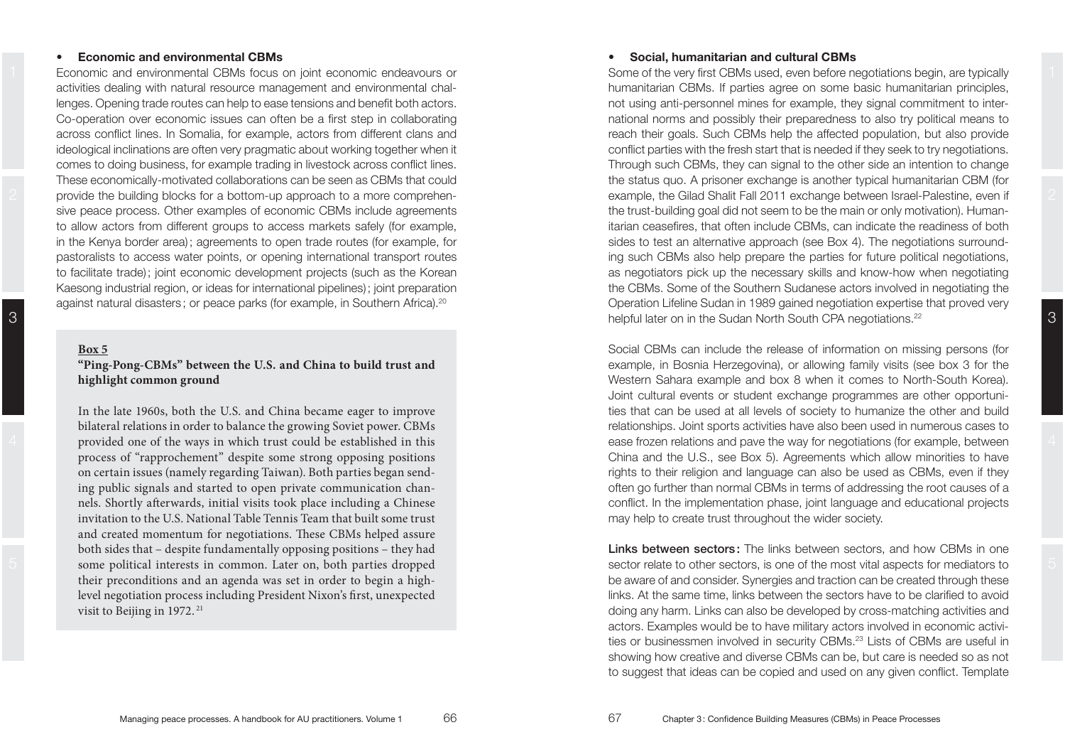#### **• Economic and environmental CBMs**

activities dealing with natural resource management and environmental challenges. Opening trade routes can help to ease tensions and benefit both actors. Co-operation over economic issues can often be a first step in collaborating across conflict lines. In Somalia, for example, actors from different clans and ideological inclinations are often very pragmatic about working together when it comes to doing business, for example trading in livestock across conflict lines. These economically-motivated collaborations can be seen as CBMs that could provide the building blocks for a bottom-up approach to a more comprehensive peace process. Other examples of economic CBMs include agreements to allow actors from different groups to access markets safely (for example, in the Kenya border area) ; agreements to open trade routes (for example, for pastoralists to access water points, or opening international transport routes to facilitate trade) ; joint economic development projects (such as the Korean Kaesong industrial region, or ideas for international pipelines) ; joint preparation against natural disasters ; or peace parks (for example, in Southern Africa).

#### **Box 5**

### **"Ping-Pong-CBMs" between the U.S. and China to build trust and highlight common ground**

In the late 1960s, both the U.S. and China became eager to improve bilateral relations in order to balance the growing Soviet power. CBMs provided one of the ways in which trust could be established in this process of "rapprochement" despite some strong opposing positions on certain issues (namely regarding Taiwan). Both parties began sending public signals and started to open private communication channels. Shortly afterwards, initial visits took place including a Chinese invitation to the U.S. National Table Tennis Team that built some trust and created momentum for negotiations. These CBMs helped assure both sides that – despite fundamentally opposing positions – they had some political interests in common. Later on, both parties dropped their preconditions and an agenda was set in order to begin a highlevel negotiation process including President Nixon's first, unexpected visit to Beijing in 1972.<sup>21</sup>

#### **•** Social, humanitarian and cultural CBMs

1 Economic and environmental CBMs focus on joint economic endeavours or Some of the very first CBMs used, even before negotiations begin, are typically 2  $\parallel$  provide the building blocks for a bottom-up approach to a more comprehen-<br>2 example, the Gilad Shalit Fall 2011 exchange between Israel-Palestine, even if 2 3 OLSWM\SSH[LYVUPU[OL:\KHU5VY[O:V\[O\*7(ULNV[PH[PVUZ Some of the very first CBMs used, even before negotiations begin, are typically humanitarian CBMs. If parties agree on some basic humanitarian principles, not using anti-personnel mines for example, they signal commitment to international norms and possibly their preparedness to also try political means to reach their goals. Such CBMs help the affected population, but also provide conflict parties with the fresh start that is needed if they seek to try negotiations. Through such CBMs, they can signal to the other side an intention to change the status quo. A prisoner exchange is another typical humanitarian CBM (for the trust-building goal did not seem to be the main or only motivation). Humanitarian ceasefires, that often include CBMs, can indicate the readiness of both sides to test an alternative approach (see Box 4). The negotiations surrounding such CBMs also help prepare the parties for future political negotiations. as negotiators pick up the necessary skills and know-how when negotiating the CBMs. Some of the Southern Sudanese actors involved in negotiating the Operation Lifeline Sudan in 1989 gained negotiation expertise that proved very

4 **Ease frozen relations and pave the way for negotiations (for example, between** 4 Social CBMs can include the release of information on missing persons (for example, in Bosnia Herzegovina), or allowing family visits (see box 3 for the Western Sahara example and box 8 when it comes to North-South Korea). Joint cultural events or student exchange programmes are other opportunities that can be used at all levels of society to humanize the other and build relationships. Joint sports activities have also been used in numerous cases to China and the U.S., see Box 5). Agreements which allow minorities to have rights to their religion and language can also be used as CBMs, even if they often go further than normal CBMs in terms of addressing the root causes of a conflict. In the implementation phase, joint language and educational projects may help to create trust throughout the wider society.

 5 sector relate to other sectors, is one of the most vital aspects for mediators to **Links between sectors:** The links between sectors, and how CBMs in one be aware of and consider. Synergies and traction can be created through these links. At the same time, links between the sectors have to be clarified to avoid doing any harm. Links can also be developed by cross-matching activities and actors. Examples would be to have military actors involved in economic activi ties or businessmen involved in security CBMs.<sup>23</sup> Lists of CBMs are useful in showing how creative and diverse CBMs can be, but care is needed so as not to suggest that ideas can be copied and used on any given conflict. Template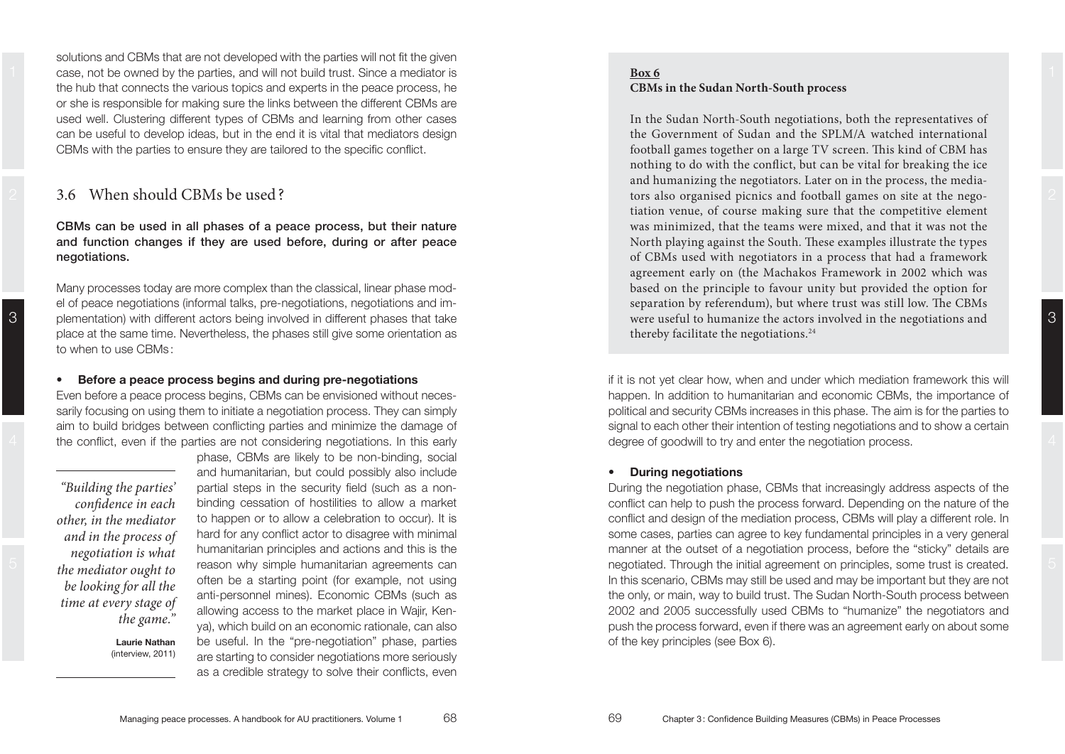1 case, not be owned by the parties, and will not build trust. Since a mediator is **Box 6 build contained by the parties** and will not build trust. Since a mediator is solutions and CBMs that are not developed with the parties will not fit the given the hub that connects the various topics and experts in the peace process, he or she is responsible for making sure the links between the different CBMs are used well. Clustering different types of CBMs and learning from other cases can be useful to develop ideas, but in the end it is vital that mediators design CBMs with the parties to ensure they are tailored to the specific conflict.

## 3.6 When should CBMs be used ?

**CBMs can be used in all phases of a peace process, but their nature and function changes if they are used before, during or after peace negotiations.** 

Many processes today are more complex than the classical, linear phase model of peace negotiations (informal talks, pre-negotiations, negotiations and implementation) with different actors being involved in different phases that take place at the same time. Nevertheless, the phases still give some orientation as to when to use  $CBMs:$ 

#### **•** Before a peace process begins and during pre-negotiations

Even before a peace process begins, CBMs can be envisioned without necessarily focusing on using them to initiate a negotiation process. They can simply aim to build bridges between conflicting parties and minimize the damage of the conflict, even if the parties are not considering negotiations. In this early

*"Building the parties' confidence in each other, in the mediator and in the process of negotiation is what the mediator ought to be looking for all the time at every stage of the game."* 

3

**Laurie Nathan**  $(interview. 2011)$ 

phase, CBMs are likely to be non-binding, social and humanitarian, but could possibly also include partial steps in the security field (such as a nonbinding cessation of hostilities to allow a market to happen or to allow a celebration to occur). It is hard for any conflict actor to disagree with minimal humanitarian principles and actions and this is the reason why simple humanitarian agreements can often be a starting point (for example, not using anti-personnel mines). Economic CBMs (such as allowing access to the market place in Wajir, Kenya), which build on an economic rationale, can also be useful. In the "pre-negotiation" phase, parties are starting to consider negotiations more seriously as a credible strategy to solve their conflicts, even

#### **Box 6CBMs in the Sudan North-South process**

In the Sudan North-South negotiations, both the representatives of the Government of Sudan and the SPLM/A watched international football games together on a large TV screen. This kind of CBM has nothing to do with the conflict, but can be vital for breaking the ice and humanizing the negotiators. Later on in the process, the mediators also organised picnics and football games on site at the negotiation venue, of course making sure that the competitive element was minimized, that the teams were mixed, and that it was not the North playing against the South. These examples illustrate the types of CBMs used with negotiators in a process that had a framework agreement early on (the Machakos Framework in 2002 which was based on the principle to favour unity but provided the option for separation by referendum), but where trust was still low. The CBMs were useful to humanize the actors involved in the negotiations and thereby facilitate the negotiations.<sup>24</sup>

if it is not yet clear how, when and under which mediation framework this will happen. In addition to humanitarian and economic CBMs, the importance of political and security CBMs increases in this phase. The aim is for the parties to signal to each other their intention of testing negotiations and to show a certain degree of goodwill to try and enter the negotiation process.

#### **•** During negotiations

During the negotiation phase. CBMs that increasingly address aspects of the conflict can help to push the process forward. Depending on the nature of the conflict and design of the mediation process, CBMs will play a different role. In some cases, parties can agree to key fundamental principles in a very general manner at the outset of a negotiation process, before the "sticky" details are negotiated. Through the initial agreement on principles, some trust is created. In this scenario, CBMs may still be used and may be important but they are not the only, or main, way to build trust. The Sudan North-South process between 2002 and 2005 successfully used CBMs to "humanize" the negotiators and push the process forward, even if there was an agreement early on about some of the key principles (see Box 6).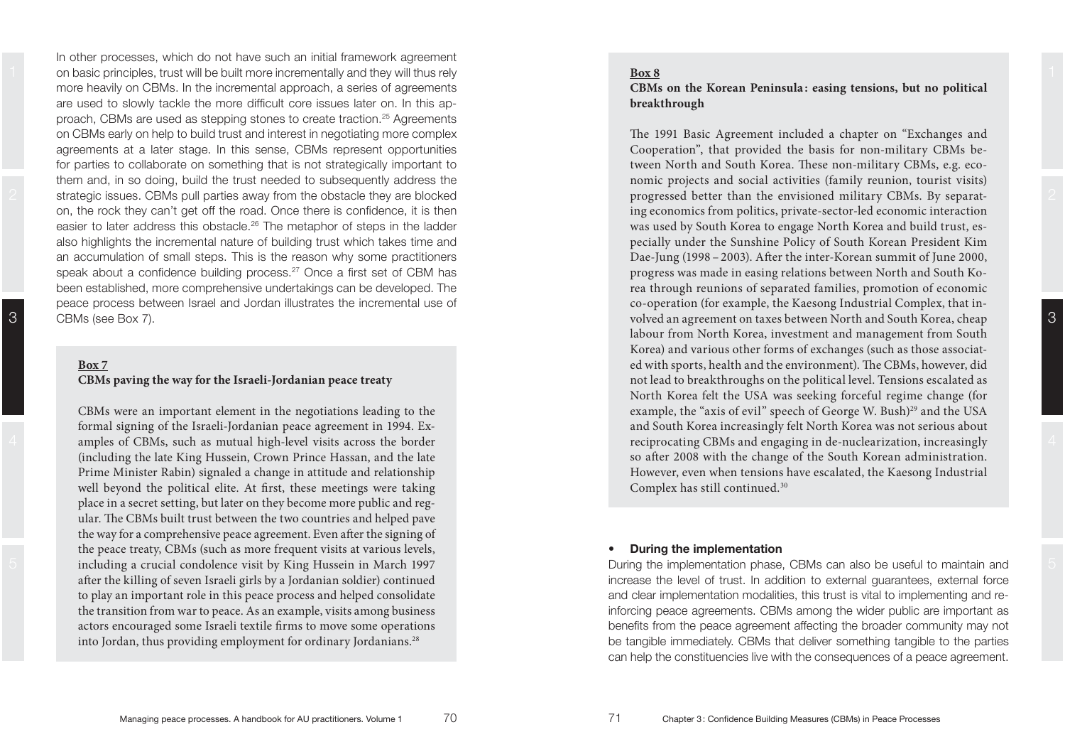1 on basic principles, trust will be built more incrementally and they will thus rely **Box 8** and they will thus rely the state of the state of the state of the state of the state of the state of the state of the state of In other processes, which do not have such an initial framework agreement more heavily on CBMs. In the incremental approach, a series of agreements are used to slowly tackle the more difficult core issues later on. In this approach, CBMs are used as stepping stones to create traction.<sup>25</sup> Agreements on CBMs early on help to build trust and interest in negotiating more complex agreements at a later stage. In this sense, CBMs represent opportunities for parties to collaborate on something that is not strategically important to them and, in so doing, build the trust needed to subsequently address the strategic issues. CBMs pull parties away from the obstacle they are blocked on, the rock they can't get off the road. Once there is confidence, it is then easier to later address this obstacle.<sup>26</sup> The metaphor of steps in the ladder also highlights the incremental nature of building trust which takes time and an accumulation of small steps. This is the reason why some practitioners speak about a confidence building process.<sup>27</sup> Once a first set of CBM has been established, more comprehensive undertakings can be developed. The peace process between Israel and Jordan illustrates the incremental use of CBMs (see Box 7).

3

#### **CBMs paving the way for the Israeli-Jordanian peace treaty**

CBMs were an important element in the negotiations leading to the formal signing of the Israeli-Jordanian peace agreement in 1994. Examples of CBMs, such as mutual high-level visits across the border (including the late King Hussein, Crown Prince Hassan, and the late Prime Minister Rabin) signaled a change in attitude and relationship well beyond the political elite. At first, these meetings were taking place in a secret setting, but later on they become more public and regular. The CBMs built trust between the two countries and helped pave the way for a comprehensive peace agreement. Even after the signing of the peace treaty, CBMs (such as more frequent visits at various levels, including a crucial condolence visit by King Hussein in March 1997 after the killing of seven Israeli girls by a Jordanian soldier) continued to play an important role in this peace process and helped consolidate the transition from war to peace. As an example, visits among business actors encouraged some Israeli textile firms to move some operations into Jordan, thus providing employment for ordinary Jordanians.<sup>28</sup>

#### **Box 8**

#### **CBMs on the Korean Peninsula : easing tensions, but no political breakthrough**

The 1991 Basic Agreement included a chapter on "Exchanges and Cooperation", that provided the basis for non-military CBMs between North and South Korea. These non-military CBMs, e.g. economic projects and social activities (family reunion, tourist visits) progressed better than the envisioned military CBMs. By separating economics from politics, private-sector-led economic interaction was used by South Korea to engage North Korea and build trust, especially under the Sunshine Policy of South Korean President Kim Dae-Jung (1998 – 2003). After the inter-Korean summit of June 2000, progress was made in easing relations between North and South Korea through reunions of separated families, promotion of economic co-operation (for example, the Kaesong Industrial Complex, that involved an agreement on taxes between North and South Korea, cheap labour from North Korea, investment and management from South Korea) and various other forms of exchanges (such as those associated with sports, health and the environment). The CBMs, however, did not lead to breakthroughs on the political level. Tensions escalated as North Korea felt the USA was seeking forceful regime change (for example, the "axis of evil" speech of George W. Bush)<sup>29</sup> and the USA and South Korea increasingly felt North Korea was not serious about reciprocating CBMs and engaging in de-nuclearization, increasingly so after 2008 with the change of the South Korean administration. However, even when tensions have escalated, the Kaesong Industrial Complex has still continued.30

#### **During the implementation**

During the implementation phase. CBMs can also be useful to maintain and increase the level of trust. In addition to external guarantees, external force and clear implementation modalities, this trust is vital to implementing and reinforcing peace agreements. CBMs among the wider public are important as benefits from the peace agreement affecting the broader community may not be tangible immediately. CBMs that deliver something tangible to the parties can help the constituencies live with the consequences of a peace agreement.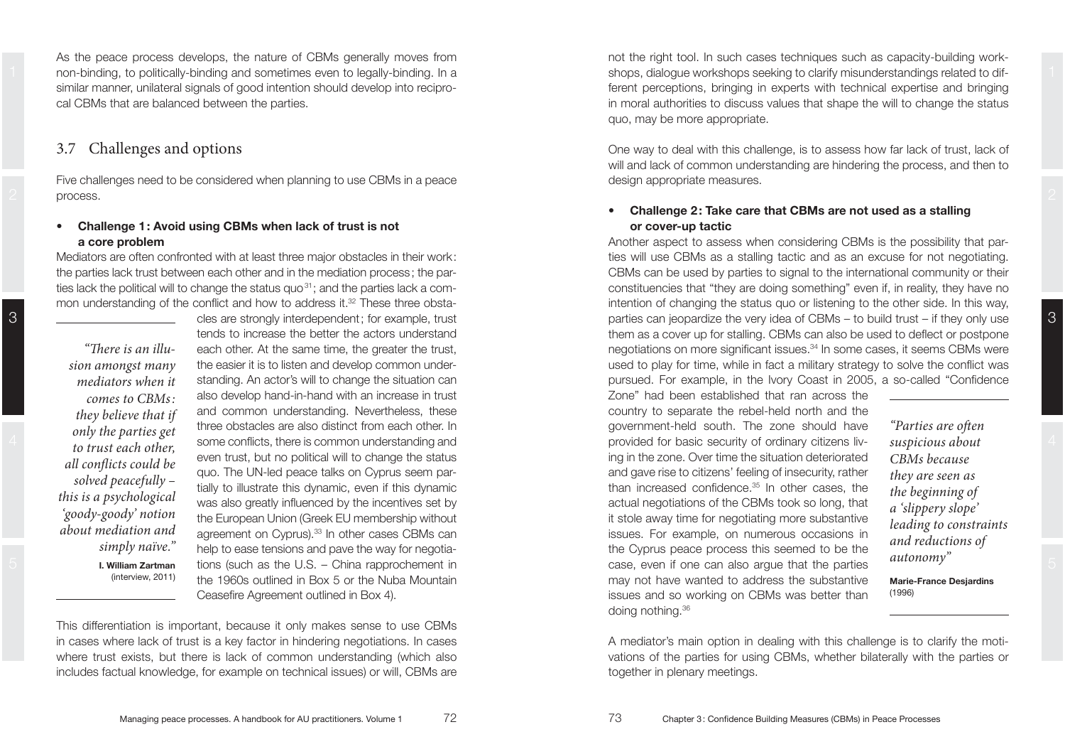As the peace process develops, the nature of CBMs generally moves from similar manner, unilateral signals of good intention should develop into reciprocal CBMs that are balanced between the parties.

## 3.7 Challenges and options

Five challenges need to be considered when planning to use CBMs in a peace process.

#### **Challenge 1: Avoid using CBMs when lack of trust is not a** core problem

Mediators are often confronted with at least three maior obstacles in their work: the parties lack trust between each other and in the mediation process ; the par ties lack the political will to change the status quo<sup>31</sup>; and the parties lack a common understanding of the conflict and how to address it.<sup>32</sup> These three obsta-

*"There is an illusion amongst many mediators when it comes to CBMs : they believe that if only the parties get to trust each other, all conflicts could be solved peacefully – this is a psychological 'goody-goody' notion about mediation and simply naïve."* **1. William Zartman**  $(interview. 2011)$ 

cles are strongly interdependent ; for example, trust tends to increase the better the actors understand each other. At the same time, the greater the trust, the easier it is to listen and develop common understanding. An actor's will to change the situation can also develop hand-in-hand with an increase in trust and common understanding. Nevertheless, these three obstacles are also distinct from each other. In some conflicts, there is common understanding and even trust, but no political will to change the status quo. The UN-led peace talks on Cyprus seem partially to illustrate this dynamic, even if this dynamic was also greatly influenced by the incentives set by the European Union (Greek EU membership without agreement on Cyprus). $33$  In other cases CBMs can help to ease tensions and pave the way for negotia tions (such as the U.S.  $-$  China rapprochement in the 1960s outlined in Box 5 or the Nuba Mountain Ceasefire Agreement outlined in Box 4).

This differentiation is important, because it only makes sense to use CBMs in cases where lack of trust is a key factor in hindering negotiations. In cases where trust exists, but there is lack of common understanding (which also includes factual knowledge, for example on technical issues) or will, CBMs are

1 Interview on-binding, to politically-binding and sometimes even to legally-binding. In a metal shops, dialogue workshops seeking to clarify misunderstandings related to difnot the right tool. In such cases techniques such as capacity-building workshops, dialogue workshops seeking to clarify misunderstandings related to different perceptions, bringing in experts with technical expertise and bringing in moral authorities to discuss values that shape the will to change the status quo, may be more appropriate.

> One way to deal with this challenge, is to assess how far lack of trust, lack of will and lack of common understanding are hindering the process, and then to design appropriate measures.

### **•** Challenge 2: Take care that CBMs are not used as a stalling  $or cover-up$  tactic

Another aspect to assess when considering CBMs is the possibility that parties will use CBMs as a stalling tactic and as an excuse for not negotiating. CBMs can be used by parties to signal to the international community or their constituencies that "they are doing something" even if, in reality, they have no intention of changing the status quo or listening to the other side. In this way, parties can jeopardize the very idea of CBMs  $-$  to build trust  $-$  if they only use them as a cover up for stalling. CBMs can also be used to deflect or postpone negotiations on more significant issues.<sup>34</sup> In some cases, it seems CBMs were used to play for time, while in fact a military strategy to solve the conflict was pursued. For example, in the Ivory Coast in 2005, a so-called "Confidence

Zone" had been established that ran across the country to separate the rebel-held north and the government-held south. The zone should have provided for basic security of ordinary citizens living in the zone. Over time the situation deteriorated and gave rise to citizens' feeling of insecurity, rather than increased confidence. $35$  In other cases, the actual negotiations of the CBMs took so long, that it stole away time for negotiating more substantive issues. For example, on numerous occasions in the Cyprus peace process this seemed to be the case, even if one can also argue that the parties may not have wanted to address the substantive issues and so working on CBMs was better than doing nothing.36

*"Parties are often suspicious about CBMs because they are seen as the beginning of <sup>a</sup>'slippery slope' leading to constraints and reductions of autonomy"*

**Marie-France Desjardins**  $(1996)$ 

A mediator's main option in dealing with this challenge is to clarify the motivations of the parties for using CBMs, whether bilaterally with the parties or together in plenary meetings.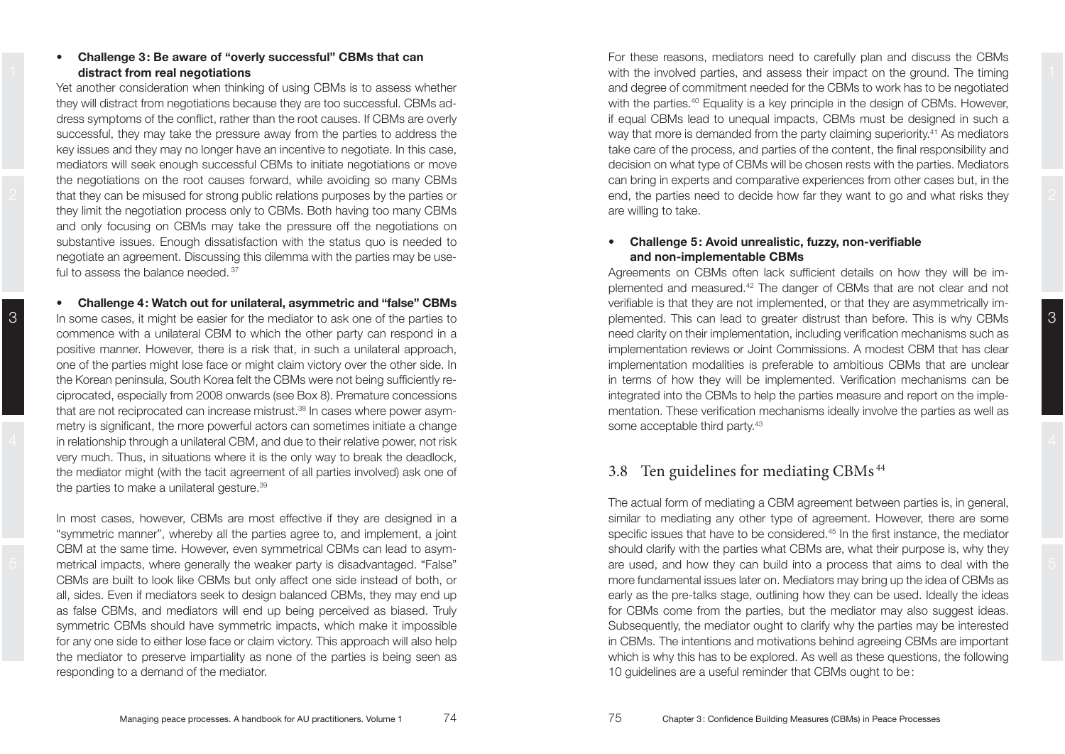### **Challenge 3: Be aware of "overly successful" CBMs that can distract from real negotiations**

Yet another consideration when thinking of using CBMs is to assess whether they will distract from negotiations because they are too successful. CBMs address symptoms of the conflict, rather than the root causes. If CBMs are overly successful, they may take the pressure away from the parties to address the key issues and they may no longer have an incentive to negotiate. In this case, mediators will seek enough successful CBMs to initiate negotiations or move the negotiations on the root causes forward, while avoiding so many CBMs that they can be misused for strong public relations purposes by the parties or they limit the negotiation process only to CBMs. Both having too many CBMs and only focusing on CBMs may take the pressure off the negotiations on substantive issues. Enough dissatisfaction with the status quo is needed to negotiate an agreement. Discussing this dilemma with the parties may be useful to assess the balance needed. 37

3 In some cases, it might be easier for the mediator to ask one of the parties to exact plemented. This can lead to greater distrust than before. This is why CBMs 3  $4$  in relationship through a unilateral CBM, and due to their relative power, not risk  $4$ **•** Challenge 4: Watch out for unilateral, asymmetric and "false" CBMs In some cases, it might be easier for the mediator to ask one of the parties to commence with a unilateral CBM to which the other party can respond in a positive manner. However, there is a risk that, in such a unilateral approach, one of the parties might lose face or might claim victory over the other side. In the Korean peninsula, South Korea felt the CBMs were not being sufficiently reciprocated, especially from 2008 onwards (see Box 8). Premature concessions that are not reciprocated can increase mistrust. $38$  In cases where power asymmetry is significant, the more powerful actors can sometimes initiate a change very much. Thus, in situations where it is the only way to break the deadlock, the mediator might (with the tacit agreement of all parties involved) ask one of the parties to make a unilateral gesture.<sup>39</sup>

3

In most cases, however, CBMs are most effective if they are designed in a "symmetric manner", whereby all the parties agree to, and implement, a joint CBM at the same time. However, even symmetrical CBMs can lead to asymmetrical impacts, where generally the weaker party is disadvantaged. "False" CBMs are built to look like CBMs but only affect one side instead of both, or all, sides. Even if mediators seek to design balanced CBMs, they may end up as false CBMs, and mediators will end up being perceived as biased. Truly symmetric CBMs should have symmetric impacts, which make it impossible for any one side to either lose face or claim victory. This approach will also help the mediator to preserve impartiality as none of the parties is being seen as responding to a demand of the mediator.

**distract from real negotiations with the involved parties, and assess their impact on the ground. The timing the strategies of the timing strategies of the timing strategies of the timing strategies of the strategies of** 2 that they can be misused for strong public relations purposes by the parties or  $\qquad \qquad$  end, the parties need to decide how far they want to go and what risks they  $\qquad$  2 For these reasons, mediators need to carefully plan and discuss the CBMs and degree of commitment needed for the CBMs to work has to be negotiated with the parties.<sup>40</sup> Equality is a key principle in the design of CBMs. However. if equal CBMs lead to unequal impacts, CBMs must be designed in such a way that more is demanded from the party claiming superiority.41 As mediators take care of the process, and parties of the content, the final responsibility and decision on what type of CBMs will be chosen rests with the parties. Mediators can bring in experts and comparative experiences from other cases but, in the are willing to take.

#### **•** Challenge 5: Avoid unrealistic, fuzzy, non-verifiable **and non-implementable CBMs**

Agreements on CBMs often lack sufficient details on how they will be implemented and measured.<sup>42</sup> The danger of CBMs that are not clear and not verifiable is that they are not implemented, or that they are asymmetrically imneed clarity on their implementation, including verification mechanisms such as implementation reviews or Joint Commissions. A modest CBM that has clear implementation modalities is preferable to ambitious CBMs that are unclear in terms of how they will be implemented. Verification mechanisms can be integrated into the CBMs to help the parties measure and report on the implementation. These verification mechanisms ideally involve the parties as well as some acceptable third party.43

## 3.8 Ten guidelines for mediating CBMs 44

5 are used, and how they can build into a process that aims to deal with the 5 The actual form of mediating a CBM agreement between parties is, in general. similar to mediating any other type of agreement. However, there are some specific issues that have to be considered.<sup>45</sup> In the first instance, the mediator should clarify with the parties what CBMs are, what their purpose is, why they more fundamental issues later on. Mediators may bring up the idea of CBMs as early as the pre-talks stage, outlining how they can be used. Ideally the ideas for CBMs come from the parties, but the mediator may also suggest ideas. Subsequently, the mediator ought to clarify why the parties may be interested in CBMs. The intentions and motivations behind agreeing CBMs are important which is why this has to be explored. As well as these questions, the following 10 guidelines are a useful reminder that CBMs ought to be: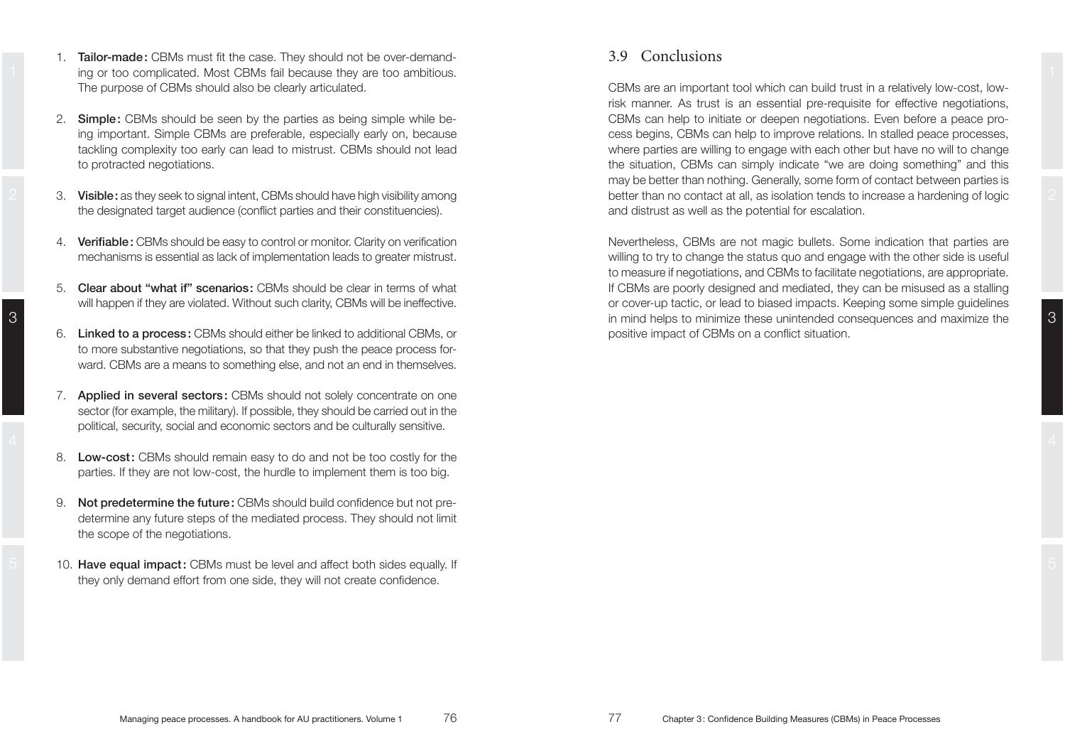- 1 a sing or too complicated. Most CBMs fail because they are too ambitious. The state of the state of the state of the state of the state of the state of the state of the state of the state of the state of the state of the 1. **Tailor-made:** CBMs must fit the case. They should not be over-demand-The purpose of CBMs should also be clearly articulated.
	- 2. Simple: CBMs should be seen by the parties as being simple while beina important. Simple CBMs are preferable, especially early on, because tackling complexity too early can lead to mistrust. CBMs should not lead to protracted negotiations.
	- 3. **Visible:** as they seek to signal intent, CBMs should have high visibility among the designated target audience (conflict parties and their constituencies).
	- 4. **Verifiable:** CBMs should be easy to control or monitor. Clarity on verification mechanisms is essential as lack of implementation leads to greater mistrust.
	- 5. **Clear about "what if" scenarios:** CBMs should be clear in terms of what will happen if they are violated. Without such clarity, CBMs will be ineffective.
	- 6. Linked to a process: CBMs should either be linked to additional CBMs, or to more substantive negotiations, so that they push the peace process for ward. CBMs are a means to something else, and not an end in themselves.
	- 7. **Applied in several sectors:** CBMs should not solely concentrate on one sector (for example, the military). If possible, they should be carried out in the political, security, social and economic sectors and be culturally sensitive.
	- 8. Low-cost: CBMs should remain easy to do and not be too costly for the parties. If they are not low-cost, the hurdle to implement them is too big.
	- 9. **Not predetermine the future:** CBMs should build confidence but not predetermine any future steps of the mediated process. They should not limit the scope of the negotiations.
- 5  $\pm$  10. Have equal impact: CBMs must be level and affect both sides equally. If  $\pm$ they only demand effort from one side, they will not create confidence.

## 3.9 Conclusions

2 3. Visible: as they seek to signal intent, CBMs should have high visibility among better than no contact at all, as isolation tends to increase a hardening of logic 2 CBMs are an important tool which can build trust in a relatively low-cost. lowrisk manner. As trust is an essential pre-requisite for effective negotiations. CBMs can help to initiate or deepen negotiations. Even before a peace process begins. CBMs can help to improve relations. In stalled peace processes. where parties are willing to engage with each other but have no will to change the situation, CBMs can simply indicate "we are doing something" and this may be better than nothing. Generally, some form of contact between parties is and distrust as well as the potential for escalation.

 $3$  in mind helps to minimize these unintended consequences and maximize the  $\,$   $\,3$ Nevertheless, CBMs are not magic bullets. Some indication that parties are willing to try to change the status quo and engage with the other side is useful to measure if negotiations, and CBMs to facilitate negotiations, are appropriate. If CBMs are poorly designed and mediated, they can be misused as a stalling or cover-up tactic, or lead to biased impacts. Keeping some simple guidelines positive impact of CBMs on a conflict situation.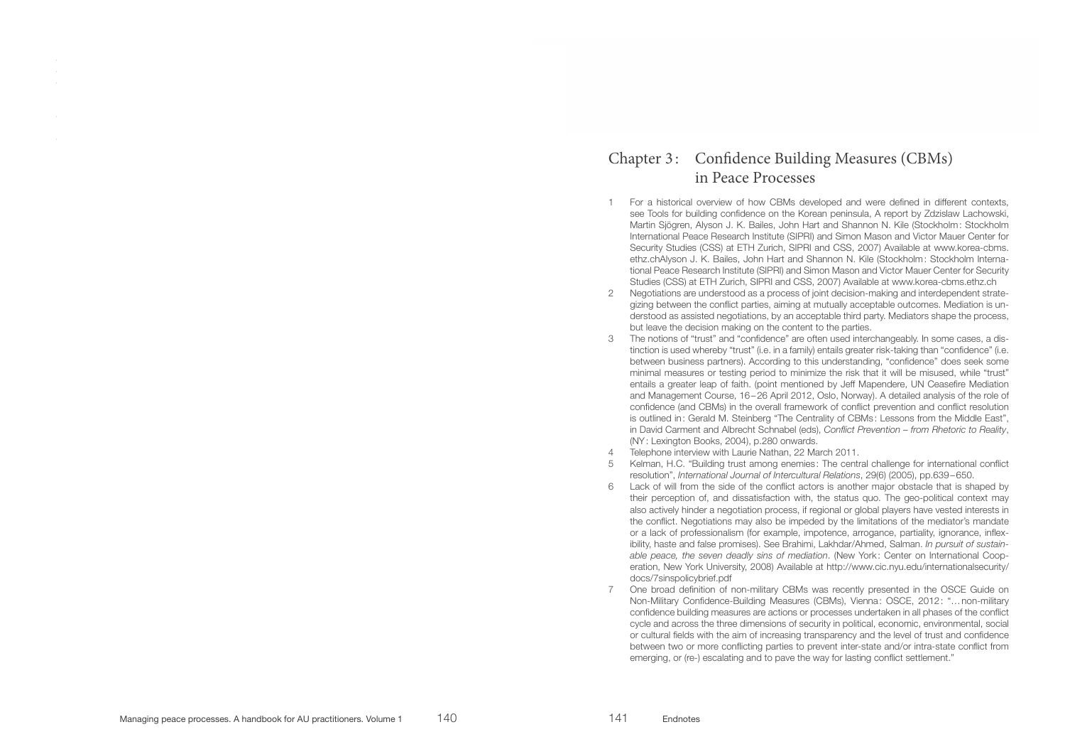## Chapter 3: Confidence Building Measures (CBMs) in Peace Processes

- 1 For a historical overview of how CBMs developed and were defined in different contexts, see Tools for building confidence on the Korean peninsula, A report by Zdzislaw Lachowski, Martin Sjögren, Alyson J. K. Bailes, John Hart and Shannon N. Kile (Stockholm: Stockholm International Peace Research Institute (SIPRI) and Simon Mason and Victor Mauer Center for Security Studies (CSS) at ETH Zurich, SIPRI and CSS, 2007) Available at www.korea-cbms. ethz.chAlyson J. K. Bailes, John Hart and Shannon N. Kile (Stockholm: Stockholm International Peace Research Institute (SIPRI) and Simon Mason and Victor Mauer Center for Security Studies (CSS) at ETH Zurich, SIPRI and CSS, 2007) Available at www.korea-cbms.ethz.ch
- 5LN 2 Negotiations are understood as a process of joint decision-making and interdependent strategizing between the conflict parties, aiming at mutually acceptable outcomes. Mediation is understood as assisted negotiations, by an acceptable third party. Mediators shape the process, but leave the decision making on the content to the parties.
- 3 The notions of "trust" and "confidence" are often used interchangeably. In some cases, a distinction is used whereby "trust" (i.e. in a family) entails greater risk-taking than "confidence" (i.e. between business partners). According to this understanding, "confidence" does seek some minimal measures or testing period to minimize the risk that it will be misused, while "trust" entails a greater leap of faith. (point mentioned by Jeff Mapendere, UN Ceasefire Mediation and Management Course, 16-26 April 2012, Oslo, Norway). A detailed analysis of the role of confidence (and CBMs) in the overall framework of conflict prevention and conflict resolution is outlined in: Gerald M. Steinberg "The Centrality of CBMs: Lessons from the Middle East". in David Carment and Albrecht Schnabel (eds), Conflict Prevention - from Rhetoric to Reality, (NY: Lexington Books, 2004), p.280 onwards.
- 4 Telephone interview with Laurie Nathan, 22 March 2011.
- 5 Kelman, H.C. "Building trust among enemies: The central challenge for international conflict resolution", *International Journal of Intercultural Relations*, 29(6) (2005), pp.639-650.
- 6 Lack of will from the side of the conflict actors is another major obstacle that is shaped by their perception of, and dissatisfaction with, the status quo. The geo-political context may also actively hinder a negotiation process, if regional or global players have vested interests in the conflict. Negotiations may also be impeded by the limitations of the mediator's mandate or a lack of professionalism (for example, impotence, arrogance, partiality, ignorance, inflexibility, haste and false promises). See Brahimi, Lakhdar/Ahmed, Salman. In pursuit of sustain*able peace, the seven deadly sins of mediation.* (New York: Center on International Cooperation, New York University, 2008) Available at http://www.cic.nyu.edu/internationalsecurity/ docs/7sinspolicybrief.pdf
- 7 One broad definition of non-military CBMs was recently presented in the OSCE Guide on Non-Military Confidence-Building Measures (CBMs), Vienna: OSCE, 2012: "...non-military confidence building measures are actions or processes undertaken in all phases of the conflict cycle and across the three dimensions of security in political, economic, environmental, social or cultural fields with the aim of increasing transparency and the level of trust and confidence between two or more conflicting parties to prevent inter-state and/or intra-state conflict from emerging, or (re-) escalating and to pave the way for lasting conflict settlement."